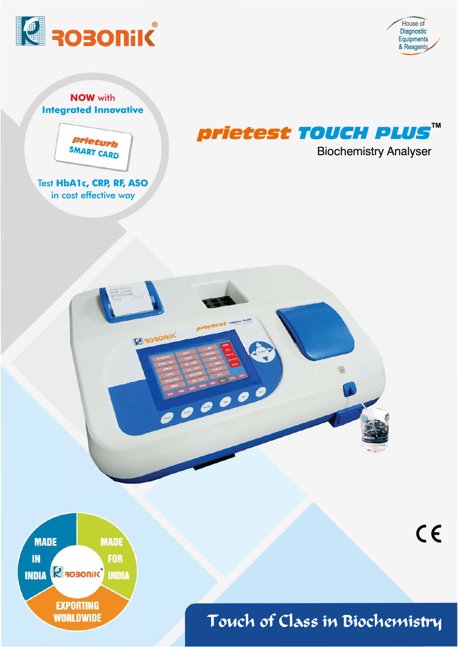

House of Diagnostic Equipments & Reagents

 $C \in$ 

**NOW with Integrated Innovative** 



Test HbA1c, CRP, RF, ASO in cost effective way



**Biochemistry Analyser** 





Touch of Class in Biochemistry